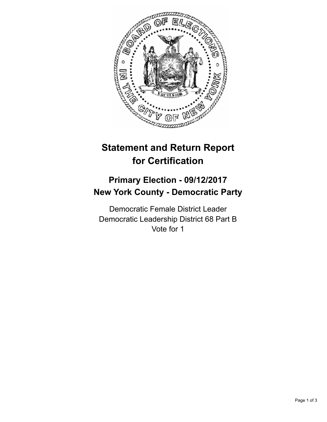

## **Statement and Return Report for Certification**

## **Primary Election - 09/12/2017 New York County - Democratic Party**

Democratic Female District Leader Democratic Leadership District 68 Part B Vote for 1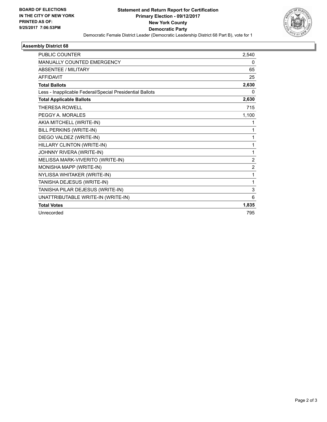

## **Assembly District 68**

| 2,540            |
|------------------|
| 0                |
| 65               |
| 25               |
| 2,630            |
| 0                |
| 2,630            |
| 715              |
| 1,100            |
| 1                |
| 1                |
| 1                |
| 1                |
| 1                |
| $\boldsymbol{2}$ |
| $\overline{2}$   |
| 1                |
| 1                |
| $\mathbf{3}$     |
| 6                |
| 1,835            |
| 795              |
|                  |